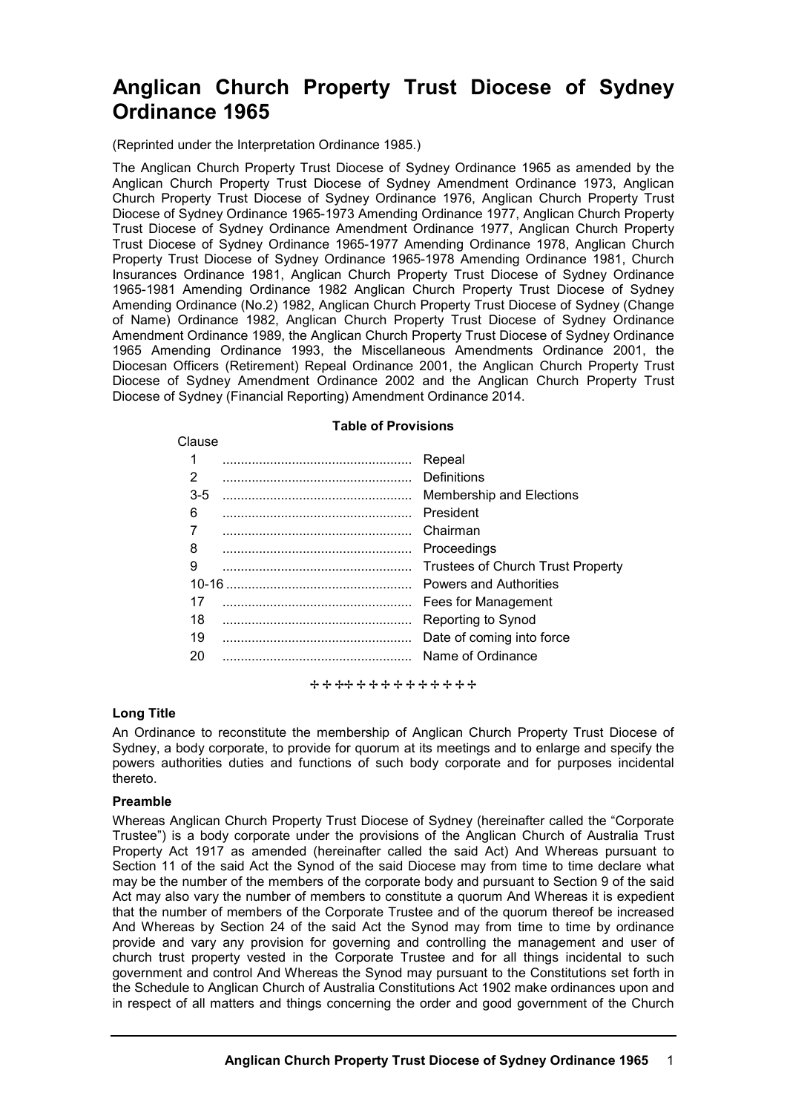# **Anglican Church Property Trust Diocese of Sydney Ordinance 1965**

(Reprinted under the Interpretation Ordinance 1985.)

The Anglican Church Property Trust Diocese of Sydney Ordinance 1965 as amended by the Anglican Church Property Trust Diocese of Sydney Amendment Ordinance 1973, Anglican Church Property Trust Diocese of Sydney Ordinance 1976, Anglican Church Property Trust Diocese of Sydney Ordinance 1965-1973 Amending Ordinance 1977, Anglican Church Property Trust Diocese of Sydney Ordinance Amendment Ordinance 1977, Anglican Church Property Trust Diocese of Sydney Ordinance 1965-1977 Amending Ordinance 1978, Anglican Church Property Trust Diocese of Sydney Ordinance 1965-1978 Amending Ordinance 1981, Church Insurances Ordinance 1981, Anglican Church Property Trust Diocese of Sydney Ordinance 1965-1981 Amending Ordinance 1982 Anglican Church Property Trust Diocese of Sydney Amending Ordinance (No.2) 1982, Anglican Church Property Trust Diocese of Sydney (Change of Name) Ordinance 1982, Anglican Church Property Trust Diocese of Sydney Ordinance Amendment Ordinance 1989, the Anglican Church Property Trust Diocese of Sydney Ordinance 1965 Amending Ordinance 1993, the Miscellaneous Amendments Ordinance 2001, the Diocesan Officers (Retirement) Repeal Ordinance 2001, the Anglican Church Property Trust Diocese of Sydney Amendment Ordinance 2002 and the Anglican Church Property Trust Diocese of Sydney (Financial Reporting) Amendment Ordinance 2014.

| <b>Table of Provisions</b> |  |                                   |  |  |
|----------------------------|--|-----------------------------------|--|--|
| Clause                     |  |                                   |  |  |
|                            |  | Repeal                            |  |  |
| 2                          |  | Definitions                       |  |  |
| $3-5$                      |  | <b>Membership and Elections</b>   |  |  |
| 6                          |  | President                         |  |  |
|                            |  | Chairman                          |  |  |
| 8                          |  | Proceedings                       |  |  |
| 9                          |  | Trustees of Church Trust Property |  |  |
| $10 - 16$                  |  | <b>Powers and Authorities</b>     |  |  |
| 17                         |  | Fees for Management               |  |  |
| 18                         |  | Reporting to Synod                |  |  |
| 19                         |  | Date of coming into force         |  |  |
| 20                         |  | Name of Ordinance                 |  |  |
|                            |  |                                   |  |  |

+ + + + + + + + + + + + + + +

# **Long Title**

An Ordinance to reconstitute the membership of Anglican Church Property Trust Diocese of Sydney, a body corporate, to provide for quorum at its meetings and to enlarge and specify the powers authorities duties and functions of such body corporate and for purposes incidental thereto.

### **Preamble**

Whereas Anglican Church Property Trust Diocese of Sydney (hereinafter called the "Corporate Trustee") is a body corporate under the provisions of the Anglican Church of Australia Trust Property Act 1917 as amended (hereinafter called the said Act) And Whereas pursuant to Section 11 of the said Act the Synod of the said Diocese may from time to time declare what may be the number of the members of the corporate body and pursuant to Section 9 of the said Act may also vary the number of members to constitute a quorum And Whereas it is expedient that the number of members of the Corporate Trustee and of the quorum thereof be increased And Whereas by Section 24 of the said Act the Synod may from time to time by ordinance provide and vary any provision for governing and controlling the management and user of church trust property vested in the Corporate Trustee and for all things incidental to such government and control And Whereas the Synod may pursuant to the Constitutions set forth in the Schedule to Anglican Church of Australia Constitutions Act 1902 make ordinances upon and in respect of all matters and things concerning the order and good government of the Church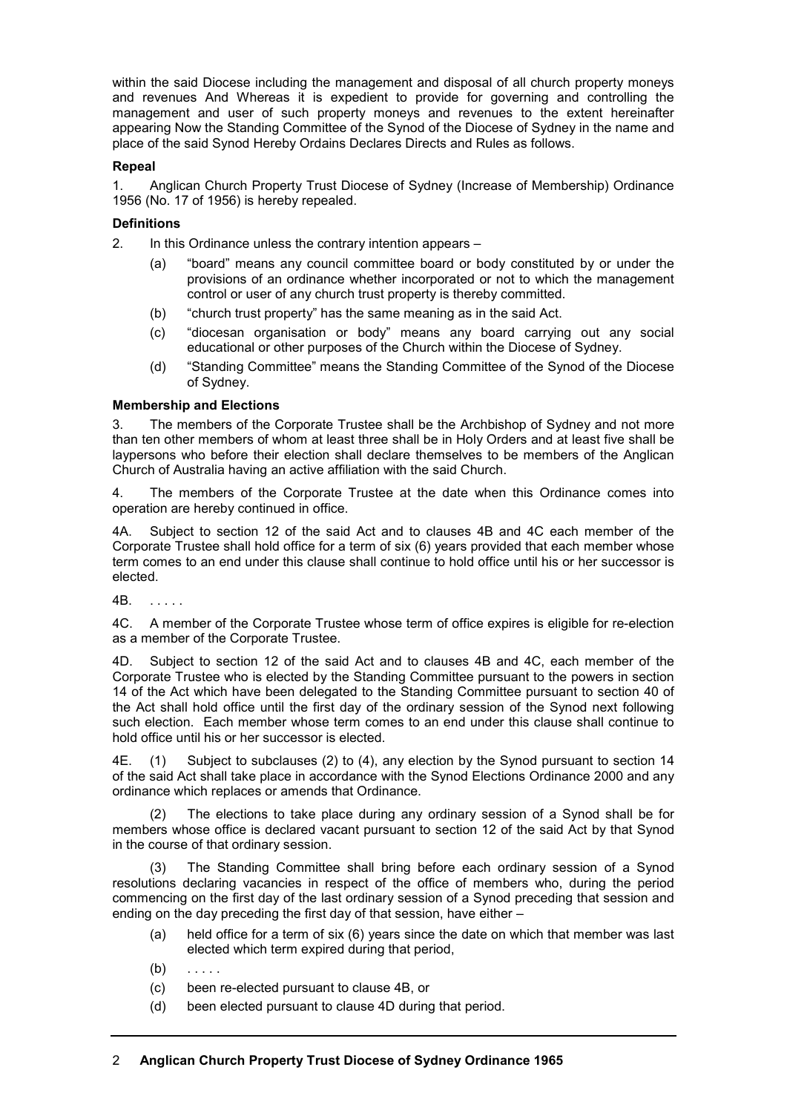within the said Diocese including the management and disposal of all church property moneys and revenues And Whereas it is expedient to provide for governing and controlling the management and user of such property moneys and revenues to the extent hereinafter appearing Now the Standing Committee of the Synod of the Diocese of Sydney in the name and place of the said Synod Hereby Ordains Declares Directs and Rules as follows.

# **Repeal**

1. Anglican Church Property Trust Diocese of Sydney (Increase of Membership) Ordinance 1956 (No. 17 of 1956) is hereby repealed.

# **Definitions**

2. In this Ordinance unless the contrary intention appears –

- (a) "board" means any council committee board or body constituted by or under the provisions of an ordinance whether incorporated or not to which the management control or user of any church trust property is thereby committed.
- (b) "church trust property" has the same meaning as in the said Act.
- (c) "diocesan organisation or body" means any board carrying out any social educational or other purposes of the Church within the Diocese of Sydney.
- (d) "Standing Committee" means the Standing Committee of the Synod of the Diocese of Sydney.

# **Membership and Elections**

3. The members of the Corporate Trustee shall be the Archbishop of Sydney and not more than ten other members of whom at least three shall be in Holy Orders and at least five shall be laypersons who before their election shall declare themselves to be members of the Anglican Church of Australia having an active affiliation with the said Church.

4. The members of the Corporate Trustee at the date when this Ordinance comes into operation are hereby continued in office.

4A. Subject to section 12 of the said Act and to clauses 4B and 4C each member of the Corporate Trustee shall hold office for a term of six (6) years provided that each member whose term comes to an end under this clause shall continue to hold office until his or her successor is elected.

4B. . . . . .

4C. A member of the Corporate Trustee whose term of office expires is eligible for re-election as a member of the Corporate Trustee.

4D. Subject to section 12 of the said Act and to clauses 4B and 4C, each member of the Corporate Trustee who is elected by the Standing Committee pursuant to the powers in section 14 of the Act which have been delegated to the Standing Committee pursuant to section 40 of the Act shall hold office until the first day of the ordinary session of the Synod next following such election. Each member whose term comes to an end under this clause shall continue to hold office until his or her successor is elected.

4E. (1) Subject to subclauses (2) to (4), any election by the Synod pursuant to section 14 of the said Act shall take place in accordance with the Synod Elections Ordinance 2000 and any ordinance which replaces or amends that Ordinance.

(2) The elections to take place during any ordinary session of a Synod shall be for members whose office is declared vacant pursuant to section 12 of the said Act by that Synod in the course of that ordinary session.

(3) The Standing Committee shall bring before each ordinary session of a Synod resolutions declaring vacancies in respect of the office of members who, during the period commencing on the first day of the last ordinary session of a Synod preceding that session and ending on the day preceding the first day of that session, have either –

- (a) held office for a term of six (6) years since the date on which that member was last elected which term expired during that period,
- $(b)$  . . . . .
- (c) been re-elected pursuant to clause 4B, or
- (d) been elected pursuant to clause 4D during that period.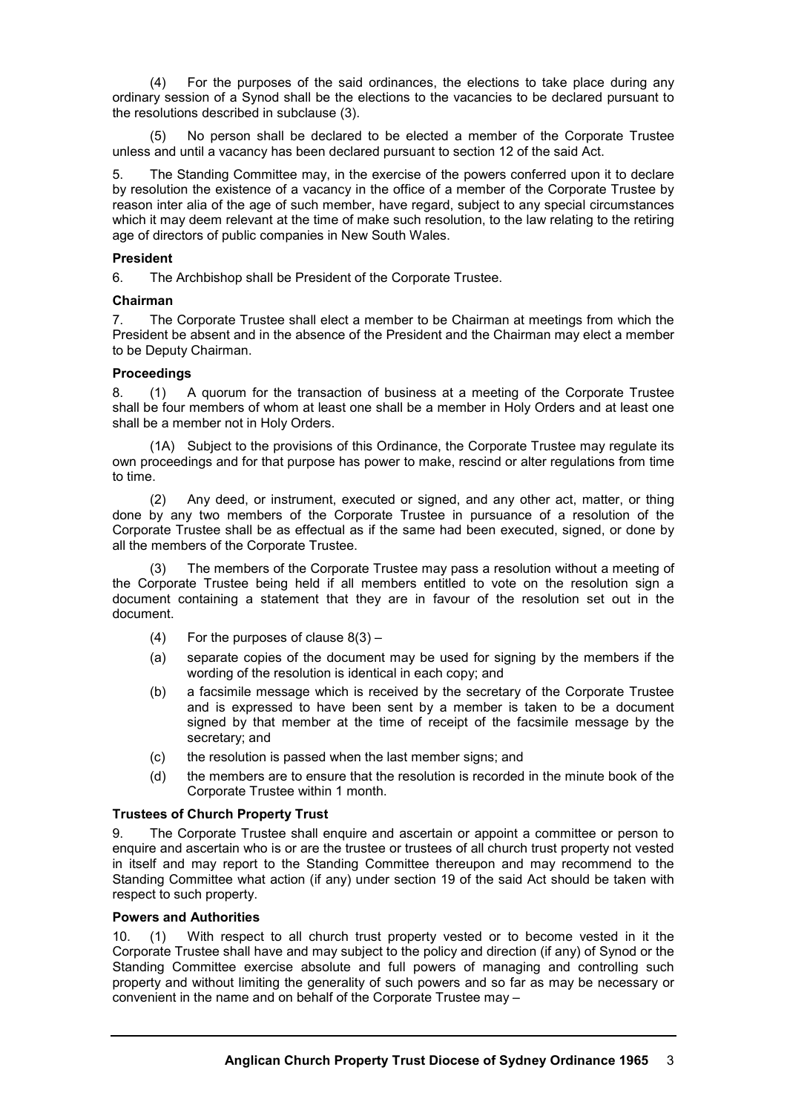(4) For the purposes of the said ordinances, the elections to take place during any ordinary session of a Synod shall be the elections to the vacancies to be declared pursuant to the resolutions described in subclause (3).

(5) No person shall be declared to be elected a member of the Corporate Trustee unless and until a vacancy has been declared pursuant to section 12 of the said Act.

5. The Standing Committee may, in the exercise of the powers conferred upon it to declare by resolution the existence of a vacancy in the office of a member of the Corporate Trustee by reason inter alia of the age of such member, have regard, subject to any special circumstances which it may deem relevant at the time of make such resolution, to the law relating to the retiring age of directors of public companies in New South Wales.

## **President**

6. The Archbishop shall be President of the Corporate Trustee.

# **Chairman**

7. The Corporate Trustee shall elect a member to be Chairman at meetings from which the President be absent and in the absence of the President and the Chairman may elect a member to be Deputy Chairman.

# **Proceedings**

8. (1) A quorum for the transaction of business at a meeting of the Corporate Trustee shall be four members of whom at least one shall be a member in Holy Orders and at least one shall be a member not in Holy Orders.

(1A) Subject to the provisions of this Ordinance, the Corporate Trustee may regulate its own proceedings and for that purpose has power to make, rescind or alter regulations from time to time.

(2) Any deed, or instrument, executed or signed, and any other act, matter, or thing done by any two members of the Corporate Trustee in pursuance of a resolution of the Corporate Trustee shall be as effectual as if the same had been executed, signed, or done by all the members of the Corporate Trustee.

(3) The members of the Corporate Trustee may pass a resolution without a meeting of the Corporate Trustee being held if all members entitled to vote on the resolution sign a document containing a statement that they are in favour of the resolution set out in the document.

- (4) For the purposes of clause  $8(3)$  –
- (a) separate copies of the document may be used for signing by the members if the wording of the resolution is identical in each copy; and
- (b) a facsimile message which is received by the secretary of the Corporate Trustee and is expressed to have been sent by a member is taken to be a document signed by that member at the time of receipt of the facsimile message by the secretary; and
- (c) the resolution is passed when the last member signs; and
- (d) the members are to ensure that the resolution is recorded in the minute book of the Corporate Trustee within 1 month.

# **Trustees of Church Property Trust**

9. The Corporate Trustee shall enquire and ascertain or appoint a committee or person to enquire and ascertain who is or are the trustee or trustees of all church trust property not vested in itself and may report to the Standing Committee thereupon and may recommend to the Standing Committee what action (if any) under section 19 of the said Act should be taken with respect to such property.

### **Powers and Authorities**

10. (1) With respect to all church trust property vested or to become vested in it the Corporate Trustee shall have and may subject to the policy and direction (if any) of Synod or the Standing Committee exercise absolute and full powers of managing and controlling such property and without limiting the generality of such powers and so far as may be necessary or convenient in the name and on behalf of the Corporate Trustee may –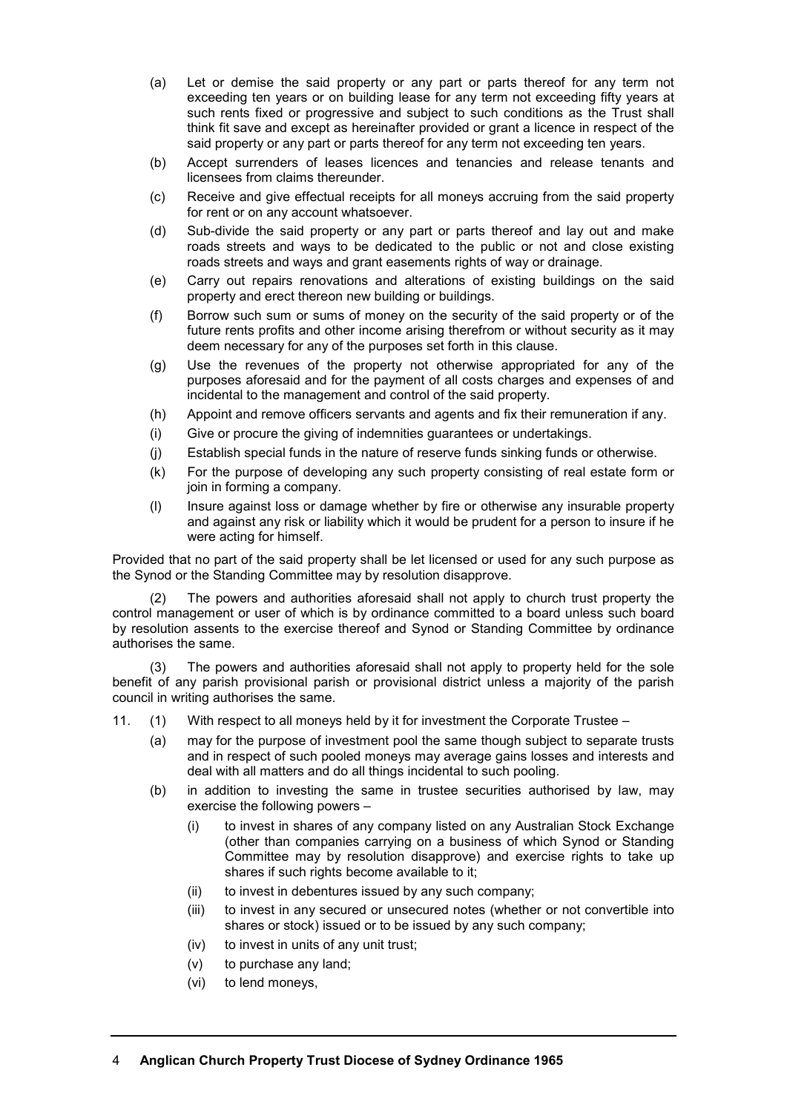- (a) Let or demise the said property or any part or parts thereof for any term not exceeding ten years or on building lease for any term not exceeding fifty years at such rents fixed or progressive and subject to such conditions as the Trust shall think fit save and except as hereinafter provided or grant a licence in respect of the said property or any part or parts thereof for any term not exceeding ten years.
- (b) Accept surrenders of leases licences and tenancies and release tenants and licensees from claims thereunder.
- (c) Receive and give effectual receipts for all moneys accruing from the said property for rent or on any account whatsoever.
- (d) Sub-divide the said property or any part or parts thereof and lay out and make roads streets and ways to be dedicated to the public or not and close existing roads streets and ways and grant easements rights of way or drainage.
- (e) Carry out repairs renovations and alterations of existing buildings on the said property and erect thereon new building or buildings.
- (f) Borrow such sum or sums of money on the security of the said property or of the future rents profits and other income arising therefrom or without security as it may deem necessary for any of the purposes set forth in this clause.
- (g) Use the revenues of the property not otherwise appropriated for any of the purposes aforesaid and for the payment of all costs charges and expenses of and incidental to the management and control of the said property.
- (h) Appoint and remove officers servants and agents and fix their remuneration if any.
- (i) Give or procure the giving of indemnities guarantees or undertakings.
- (j) Establish special funds in the nature of reserve funds sinking funds or otherwise.
- (k) For the purpose of developing any such property consisting of real estate form or join in forming a company.
- (l) Insure against loss or damage whether by fire or otherwise any insurable property and against any risk or liability which it would be prudent for a person to insure if he were acting for himself.

Provided that no part of the said property shall be let licensed or used for any such purpose as the Synod or the Standing Committee may by resolution disapprove.

(2) The powers and authorities aforesaid shall not apply to church trust property the control management or user of which is by ordinance committed to a board unless such board by resolution assents to the exercise thereof and Synod or Standing Committee by ordinance authorises the same.

(3) The powers and authorities aforesaid shall not apply to property held for the sole benefit of any parish provisional parish or provisional district unless a majority of the parish council in writing authorises the same.

- 11. (1) With respect to all moneys held by it for investment the Corporate Trustee
	- (a) may for the purpose of investment pool the same though subject to separate trusts and in respect of such pooled moneys may average gains losses and interests and deal with all matters and do all things incidental to such pooling.
	- (b) in addition to investing the same in trustee securities authorised by law, may exercise the following powers –
		- (i) to invest in shares of any company listed on any Australian Stock Exchange (other than companies carrying on a business of which Synod or Standing Committee may by resolution disapprove) and exercise rights to take up shares if such rights become available to it;
		- (ii) to invest in debentures issued by any such company;
		- (iii) to invest in any secured or unsecured notes (whether or not convertible into shares or stock) issued or to be issued by any such company;
		- (iv) to invest in units of any unit trust;
		- (v) to purchase any land;
		- (vi) to lend moneys,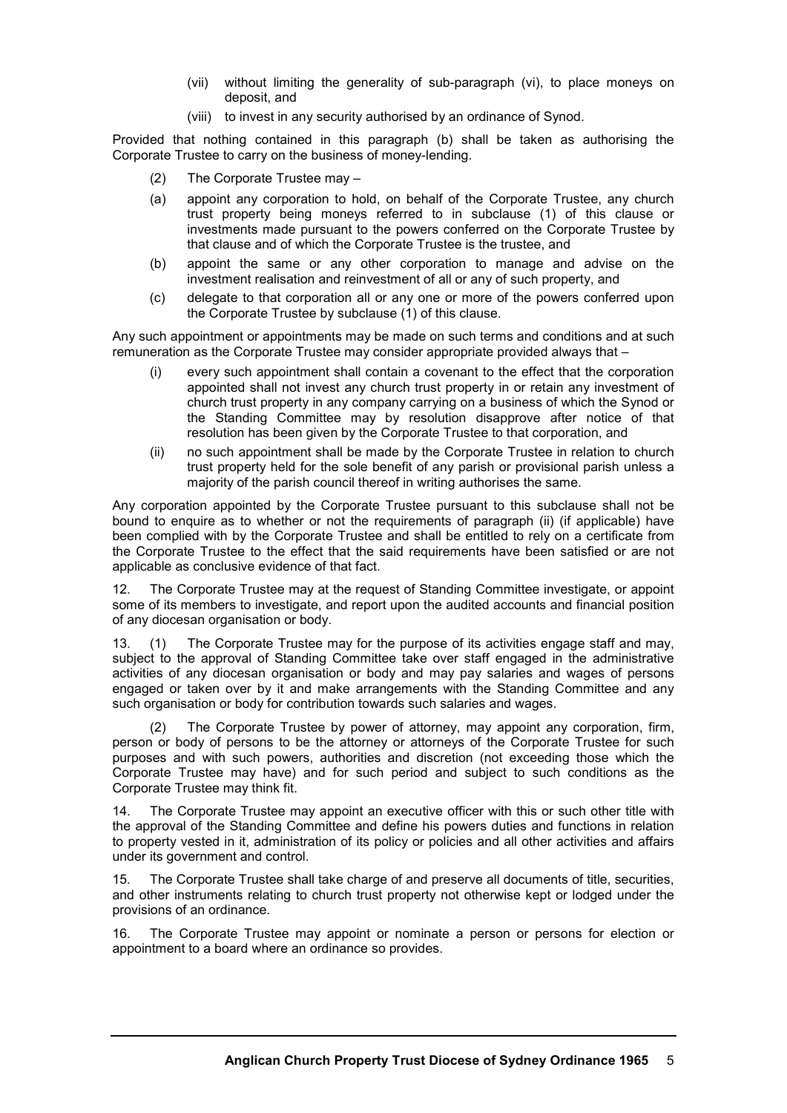- (vii) without limiting the generality of sub-paragraph (vi), to place moneys on deposit, and
- (viii) to invest in any security authorised by an ordinance of Synod.

Provided that nothing contained in this paragraph (b) shall be taken as authorising the Corporate Trustee to carry on the business of money-lending.

- (2) The Corporate Trustee may –
- (a) appoint any corporation to hold, on behalf of the Corporate Trustee, any church trust property being moneys referred to in subclause (1) of this clause or investments made pursuant to the powers conferred on the Corporate Trustee by that clause and of which the Corporate Trustee is the trustee, and
- (b) appoint the same or any other corporation to manage and advise on the investment realisation and reinvestment of all or any of such property, and
- (c) delegate to that corporation all or any one or more of the powers conferred upon the Corporate Trustee by subclause (1) of this clause.

Any such appointment or appointments may be made on such terms and conditions and at such remuneration as the Corporate Trustee may consider appropriate provided always that –

- (i) every such appointment shall contain a covenant to the effect that the corporation appointed shall not invest any church trust property in or retain any investment of church trust property in any company carrying on a business of which the Synod or the Standing Committee may by resolution disapprove after notice of that resolution has been given by the Corporate Trustee to that corporation, and
- (ii) no such appointment shall be made by the Corporate Trustee in relation to church trust property held for the sole benefit of any parish or provisional parish unless a majority of the parish council thereof in writing authorises the same.

Any corporation appointed by the Corporate Trustee pursuant to this subclause shall not be bound to enquire as to whether or not the requirements of paragraph (ii) (if applicable) have been complied with by the Corporate Trustee and shall be entitled to rely on a certificate from the Corporate Trustee to the effect that the said requirements have been satisfied or are not applicable as conclusive evidence of that fact.

12. The Corporate Trustee may at the request of Standing Committee investigate, or appoint some of its members to investigate, and report upon the audited accounts and financial position of any diocesan organisation or body.

13. (1) The Corporate Trustee may for the purpose of its activities engage staff and may, subject to the approval of Standing Committee take over staff engaged in the administrative activities of any diocesan organisation or body and may pay salaries and wages of persons engaged or taken over by it and make arrangements with the Standing Committee and any such organisation or body for contribution towards such salaries and wages.

(2) The Corporate Trustee by power of attorney, may appoint any corporation, firm, person or body of persons to be the attorney or attorneys of the Corporate Trustee for such purposes and with such powers, authorities and discretion (not exceeding those which the Corporate Trustee may have) and for such period and subject to such conditions as the Corporate Trustee may think fit.

14. The Corporate Trustee may appoint an executive officer with this or such other title with the approval of the Standing Committee and define his powers duties and functions in relation to property vested in it, administration of its policy or policies and all other activities and affairs under its government and control.

15. The Corporate Trustee shall take charge of and preserve all documents of title, securities, and other instruments relating to church trust property not otherwise kept or lodged under the provisions of an ordinance.

16. The Corporate Trustee may appoint or nominate a person or persons for election or appointment to a board where an ordinance so provides.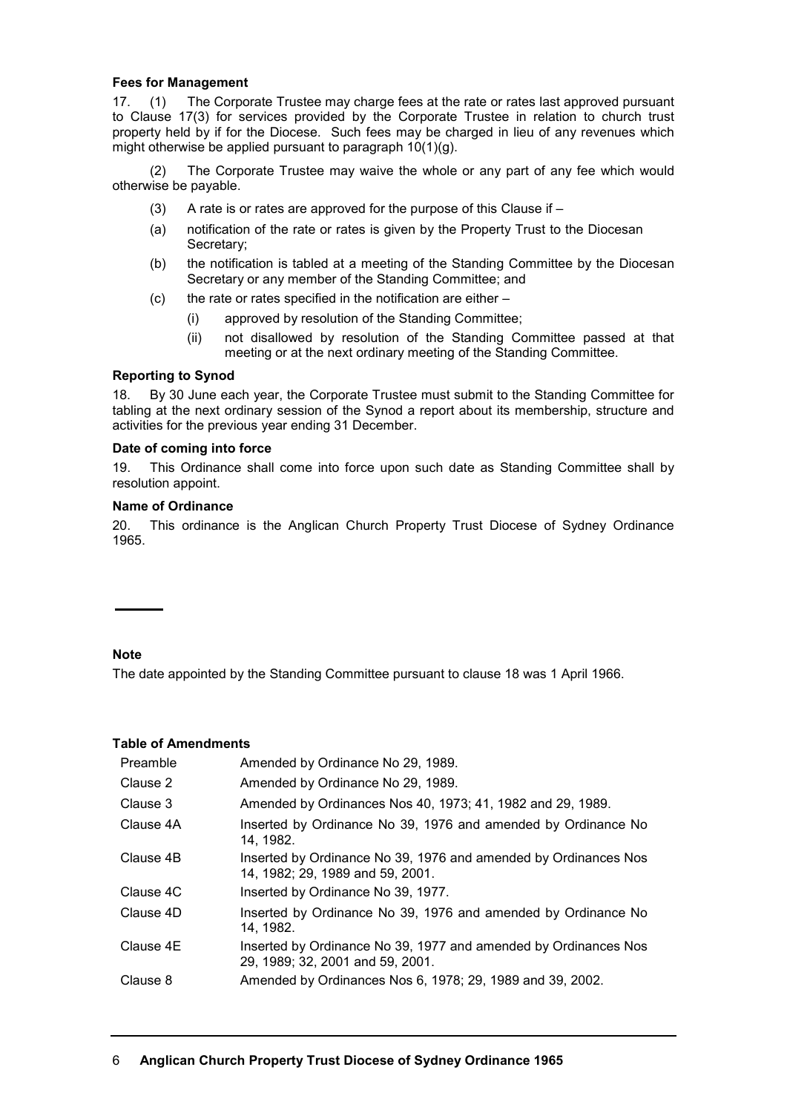# **Fees for Management**

17. (1) The Corporate Trustee may charge fees at the rate or rates last approved pursuant to Clause 17(3) for services provided by the Corporate Trustee in relation to church trust property held by if for the Diocese. Such fees may be charged in lieu of any revenues which might otherwise be applied pursuant to paragraph 10(1)(g).

(2) The Corporate Trustee may waive the whole or any part of any fee which would otherwise be payable.

- (3) A rate is or rates are approved for the purpose of this Clause if  $-$
- (a) notification of the rate or rates is given by the Property Trust to the Diocesan Secretary;
- (b) the notification is tabled at a meeting of the Standing Committee by the Diocesan Secretary or any member of the Standing Committee; and
- $(c)$  the rate or rates specified in the notification are either
	- (i) approved by resolution of the Standing Committee;
	- (ii) not disallowed by resolution of the Standing Committee passed at that meeting or at the next ordinary meeting of the Standing Committee.

### **Reporting to Synod**

18. By 30 June each year, the Corporate Trustee must submit to the Standing Committee for tabling at the next ordinary session of the Synod a report about its membership, structure and activities for the previous year ending 31 December.

### **Date of coming into force**

19. This Ordinance shall come into force upon such date as Standing Committee shall by resolution appoint.

### **Name of Ordinance**

20. This ordinance is the Anglican Church Property Trust Diocese of Sydney Ordinance 1965.

# **Note**

The date appointed by the Standing Committee pursuant to clause 18 was 1 April 1966.

## **Table of Amendments**

| Preamble  | Amended by Ordinance No 29, 1989.                                                                   |
|-----------|-----------------------------------------------------------------------------------------------------|
| Clause 2  | Amended by Ordinance No 29, 1989.                                                                   |
| Clause 3  | Amended by Ordinances Nos 40, 1973; 41, 1982 and 29, 1989.                                          |
| Clause 4A | Inserted by Ordinance No 39, 1976 and amended by Ordinance No<br>14.1982.                           |
| Clause 4B | Inserted by Ordinance No 39, 1976 and amended by Ordinances Nos<br>14, 1982; 29, 1989 and 59, 2001. |
| Clause 4C | Inserted by Ordinance No 39, 1977.                                                                  |
| Clause 4D | Inserted by Ordinance No 39, 1976 and amended by Ordinance No<br>14, 1982.                          |
| Clause 4E | Inserted by Ordinance No 39, 1977 and amended by Ordinances Nos<br>29, 1989; 32, 2001 and 59, 2001. |
| Clause 8  | Amended by Ordinances Nos 6, 1978; 29, 1989 and 39, 2002.                                           |